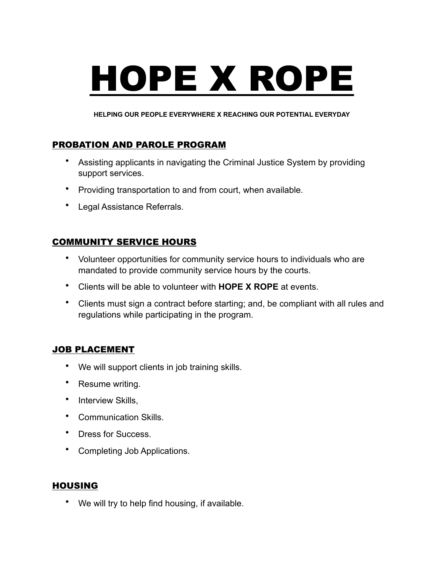# HOPE X ROPE

**HELPING OUR PEOPLE EVERYWHERE X REACHING OUR POTENTIAL EVERYDAY**

# PROBATION AND PAROLE PROGRAM

- Assisting applicants in navigating the Criminal Justice System by providing support services.
- Providing transportation to and from court, when available.
- Legal Assistance Referrals.

# COMMUNITY SERVICE HOURS

- Volunteer opportunities for community service hours to individuals who are mandated to provide community service hours by the courts.
- Clients will be able to volunteer with **HOPE X ROPE** at events.
- Clients must sign a contract before starting; and, be compliant with all rules and regulations while participating in the program.

### JOB PLACEMENT

- We will support clients in job training skills.
- Resume writing.
- Interview Skills,
- Communication Skills.
- Dress for Success.
- Completing Job Applications.

### HOUSING

• We will try to help find housing, if available.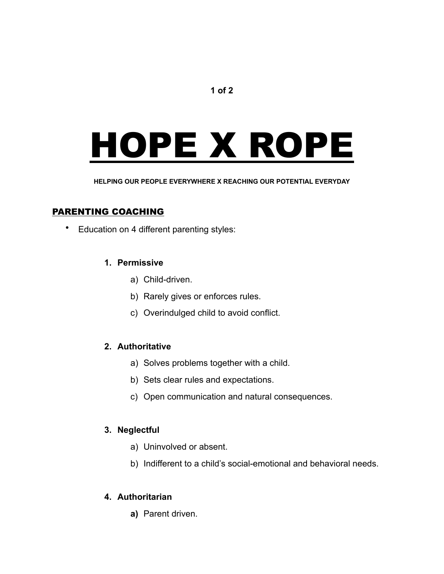### **1 of 2**

# HOPE X ROPE

**HELPING OUR PEOPLE EVERYWHERE X REACHING OUR POTENTIAL EVERYDAY**

### PARENTING COACHING

• Education on 4 different parenting styles:

### **1. Permissive**

- a) Child-driven.
- b) Rarely gives or enforces rules.
- c) Overindulged child to avoid conflict.

### **2. Authoritative**

- a) Solves problems together with a child.
- b) Sets clear rules and expectations.
- c) Open communication and natural consequences.

### **3. Neglectful**

- a) Uninvolved or absent.
- b) Indifferent to a child's social-emotional and behavioral needs.

### **4. Authoritarian**

**a)** Parent driven.